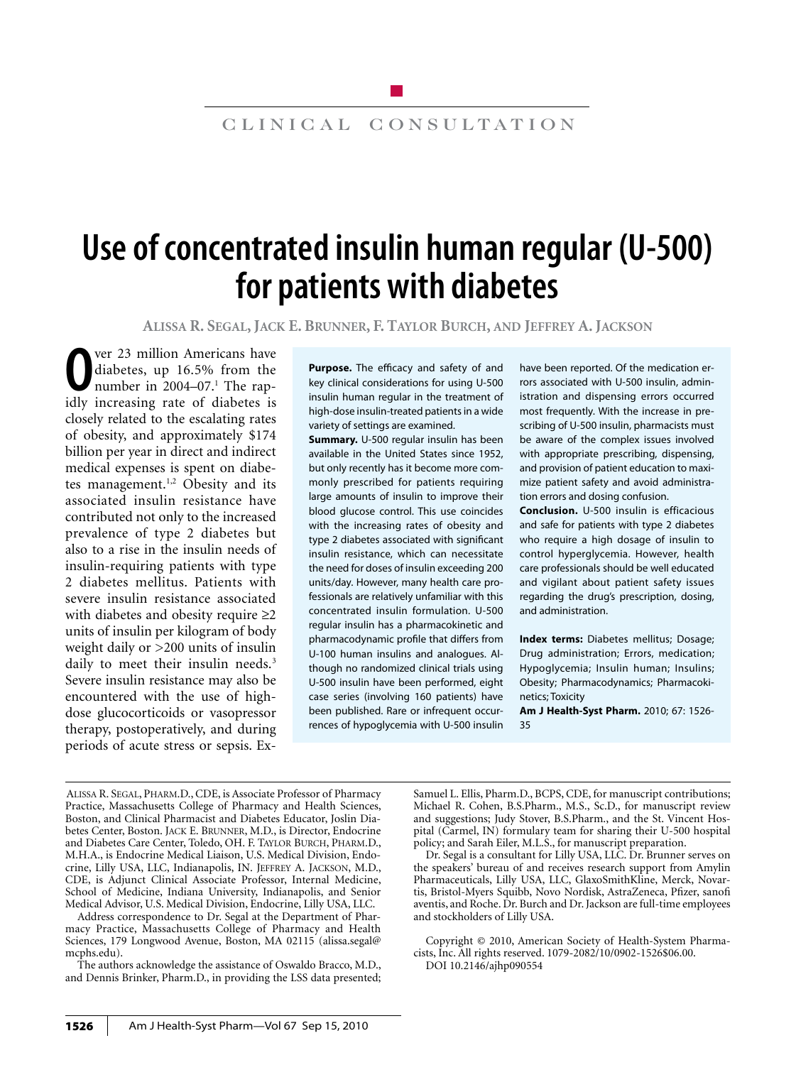# clinical consultation

# **Use of concentrated insulin human regular (U-500) for patients with diabetes**

**Alissa R. Segal, Jack E. Brunner, F. Taylor Burch, and Jeffrey A. Jackson**

**O** ver 23 million Americans have<br>diabetes, up 16.5% from the<br>number in 2004–07.<sup>1</sup> The rap-<br>idly increasing rate of diabetes is ver 23 million Americans have diabetes, up 16.5% from the number in 2004–07.<sup>1</sup> The rapclosely related to the escalating rates of obesity, and approximately \$174 billion per year in direct and indirect medical expenses is spent on diabetes management.<sup>1,2</sup> Obesity and its associated insulin resistance have contributed not only to the increased prevalence of type 2 diabetes but also to a rise in the insulin needs of insulin-requiring patients with type 2 diabetes mellitus. Patients with severe insulin resistance associated with diabetes and obesity require ≥2 units of insulin per kilogram of body weight daily or >200 units of insulin daily to meet their insulin needs.<sup>3</sup> Severe insulin resistance may also be encountered with the use of highdose glucocorticoids or vasopressor therapy, postoperatively, and during periods of acute stress or sepsis. Ex-

**Purpose.** The efficacy and safety of and key clinical considerations for using U-500 insulin human regular in the treatment of high-dose insulin-treated patients in a wide variety of settings are examined.

**Summary.** U-500 regular insulin has been available in the United States since 1952, but only recently has it become more commonly prescribed for patients requiring large amounts of insulin to improve their blood glucose control. This use coincides with the increasing rates of obesity and type 2 diabetes associated with significant insulin resistance, which can necessitate the need for doses of insulin exceeding 200 units/day. However, many health care professionals are relatively unfamiliar with this concentrated insulin formulation. U-500 regular insulin has a pharmacokinetic and pharmacodynamic profile that differs from U-100 human insulins and analogues. Although no randomized clinical trials using U-500 insulin have been performed, eight case series (involving 160 patients) have been published. Rare or infrequent occurrences of hypoglycemia with U-500 insulin

have been reported. Of the medication errors associated with U-500 insulin, administration and dispensing errors occurred most frequently. With the increase in prescribing of U-500 insulin, pharmacists must be aware of the complex issues involved with appropriate prescribing, dispensing, and provision of patient education to maximize patient safety and avoid administration errors and dosing confusion.

**Conclusion.** U-500 insulin is efficacious and safe for patients with type 2 diabetes who require a high dosage of insulin to control hyperglycemia. However, health care professionals should be well educated and vigilant about patient safety issues regarding the drug's prescription, dosing, and administration.

**Index terms:** Diabetes mellitus; Dosage; Drug administration; Errors, medication; Hypoglycemia; Insulin human; Insulins; Obesity; Pharmacodynamics; Pharmacokinetics; Toxicity

**Am J Health-Syst Pharm.** 2010; 67: 1526- 35

Alissa R. Segal, Pharm.D., CDE, is Associate Professor of Pharmacy Practice, Massachusetts College of Pharmacy and Health Sciences, Boston, and Clinical Pharmacist and Diabetes Educator, Joslin Diabetes Center, Boston. Jack E. Brunner, M.D., is Director, Endocrine and Diabetes Care Center, Toledo, OH. F. Taylor Burch, Pharm.D., M.H.A., is Endocrine Medical Liaison, U.S. Medical Division, Endocrine, Lilly USA, LLC, Indianapolis, IN. Jeffrey A. Jackson, M.D., CDE, is Adjunct Clinical Associate Professor, Internal Medicine, School of Medicine, Indiana University, Indianapolis, and Senior Medical Advisor, U.S. Medical Division, Endocrine, Lilly USA, LLC.

Address correspondence to Dr. Segal at the Department of Pharmacy Practice, Massachusetts College of Pharmacy and Health Sciences, 179 Longwood Avenue, Boston, MA 02115 (alissa.segal@ mcphs.edu).

The authors acknowledge the assistance of Oswaldo Bracco, M.D., and Dennis Brinker, Pharm.D., in providing the LSS data presented; Samuel L. Ellis, Pharm.D., BCPS, CDE, for manuscript contributions; Michael R. Cohen, B.S.Pharm., M.S., Sc.D., for manuscript review and suggestions; Judy Stover, B.S.Pharm., and the St. Vincent Hospital (Carmel, IN) formulary team for sharing their U-500 hospital policy; and Sarah Eiler, M.L.S., for manuscript preparation.

Dr. Segal is a consultant for Lilly USA, LLC. Dr. Brunner serves on the speakers' bureau of and receives research support from Amylin Pharmaceuticals, Lilly USA, LLC, GlaxoSmithKline, Merck, Novartis, Bristol-Myers Squibb, Novo Nordisk, AstraZeneca, Pfizer, sanofi aventis, and Roche. Dr. Burch and Dr. Jackson are full-time employees and stockholders of Lilly USA.

Copyright © 2010, American Society of Health-System Pharmacists, Inc. All rights reserved. 1079-2082/10/0902-1526\$06.00. DOI 10.2146/ajhp090554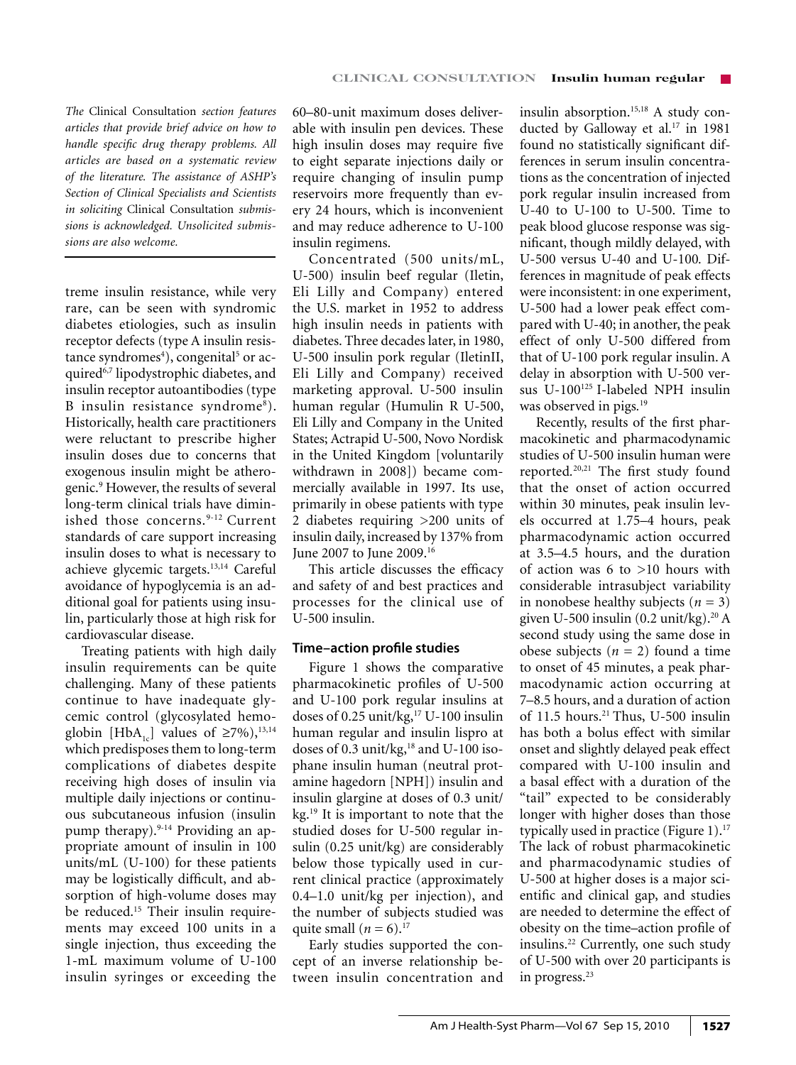*The* Clinical Consultation *section features articles that provide brief advice on how to handle specific drug therapy problems. All articles are based on a systematic review of the literature. The assistance of ASHP's Section of Clinical Specialists and Scientists in soliciting* Clinical Consultation *submissions is acknowledged. Unsolicited submissions are also welcome.*

treme insulin resistance, while very rare, can be seen with syndromic diabetes etiologies, such as insulin receptor defects (type A insulin resistance syndromes<sup>4</sup>), congenital<sup>5</sup> or acquired6,7 lipodystrophic diabetes, and insulin receptor autoantibodies (type B insulin resistance syndrome<sup>8</sup>). Historically, health care practitioners were reluctant to prescribe higher insulin doses due to concerns that exogenous insulin might be atherogenic.9 However, the results of several long-term clinical trials have diminished those concerns.<sup>9-12</sup> Current standards of care support increasing insulin doses to what is necessary to achieve glycemic targets.13,14 Careful avoidance of hypoglycemia is an additional goal for patients using insulin, particularly those at high risk for cardiovascular disease.

Treating patients with high daily insulin requirements can be quite challenging. Many of these patients continue to have inadequate glycemic control (glycosylated hemoglobin [HbA<sub>1c</sub>] values of ≥7%),<sup>13,14</sup> which predisposes them to long-term complications of diabetes despite receiving high doses of insulin via multiple daily injections or continuous subcutaneous infusion (insulin pump therapy).<sup>9-14</sup> Providing an appropriate amount of insulin in 100 units/mL (U-100) for these patients may be logistically difficult, and absorption of high-volume doses may be reduced.<sup>15</sup> Their insulin requirements may exceed 100 units in a single injection, thus exceeding the 1-mL maximum volume of U-100 insulin syringes or exceeding the 60–80-unit maximum doses deliverable with insulin pen devices. These high insulin doses may require five to eight separate injections daily or require changing of insulin pump reservoirs more frequently than every 24 hours, which is inconvenient and may reduce adherence to U-100 insulin regimens.

Concentrated (500 units/mL, U-500) insulin beef regular (Iletin, Eli Lilly and Company) entered the U.S. market in 1952 to address high insulin needs in patients with diabetes. Three decades later, in 1980, U-500 insulin pork regular (IletinII, Eli Lilly and Company) received marketing approval. U-500 insulin human regular (Humulin R U-500, Eli Lilly and Company in the United States; Actrapid U-500, Novo Nordisk in the United Kingdom [voluntarily withdrawn in 2008]) became commercially available in 1997. Its use, primarily in obese patients with type 2 diabetes requiring >200 units of insulin daily, increased by 137% from June 2007 to June 2009.16

This article discusses the efficacy and safety of and best practices and processes for the clinical use of U-500 insulin.

# **Time–action profile studies**

Figure 1 shows the comparative pharmacokinetic profiles of U-500 and U-100 pork regular insulins at doses of 0.25 unit/kg,<sup>17</sup> U-100 insulin human regular and insulin lispro at doses of 0.3 unit/kg, $18$  and U-100 isophane insulin human (neutral protamine hagedorn [NPH]) insulin and insulin glargine at doses of 0.3 unit/ kg.19 It is important to note that the studied doses for U-500 regular insulin (0.25 unit/kg) are considerably below those typically used in current clinical practice (approximately 0.4–1.0 unit/kg per injection), and the number of subjects studied was quite small  $(n = 6)$ .<sup>17</sup>

Early studies supported the concept of an inverse relationship between insulin concentration and insulin absorption.15,18 A study conducted by Galloway et al.<sup>17</sup> in 1981 found no statistically significant differences in serum insulin concentrations as the concentration of injected pork regular insulin increased from U-40 to U-100 to U-500. Time to peak blood glucose response was significant, though mildly delayed, with U-500 versus U-40 and U-100*.* Differences in magnitude of peak effects were inconsistent: in one experiment, U-500 had a lower peak effect compared with U-40; in another, the peak effect of only U-500 differed from that of U-100 pork regular insulin. A delay in absorption with U-500 versus U-100<sup>125</sup> I-labeled NPH insulin was observed in pigs*.* 19

Recently, results of the first pharmacokinetic and pharmacodynamic studies of U-500 insulin human were reported*.* 20,21 The first study found that the onset of action occurred within 30 minutes, peak insulin levels occurred at 1.75–4 hours, peak pharmacodynamic action occurred at 3.5–4.5 hours, and the duration of action was 6 to >10 hours with considerable intrasubject variability in nonobese healthy subjects  $(n = 3)$ given U-500 insulin  $(0.2 \text{ unit/kg})$ .<sup>20</sup> A second study using the same dose in obese subjects (*n* = 2) found a time to onset of 45 minutes, a peak pharmacodynamic action occurring at 7–8.5 hours, and a duration of action of 11.5 hours.<sup>21</sup> Thus, U-500 insulin has both a bolus effect with similar onset and slightly delayed peak effect compared with U-100 insulin and a basal effect with a duration of the "tail" expected to be considerably longer with higher doses than those typically used in practice (Figure 1).17 The lack of robust pharmacokinetic and pharmacodynamic studies of U-500 at higher doses is a major scientific and clinical gap, and studies are needed to determine the effect of obesity on the time–action profile of insulins.22 Currently, one such study of U-500 with over 20 participants is in progress.<sup>23</sup>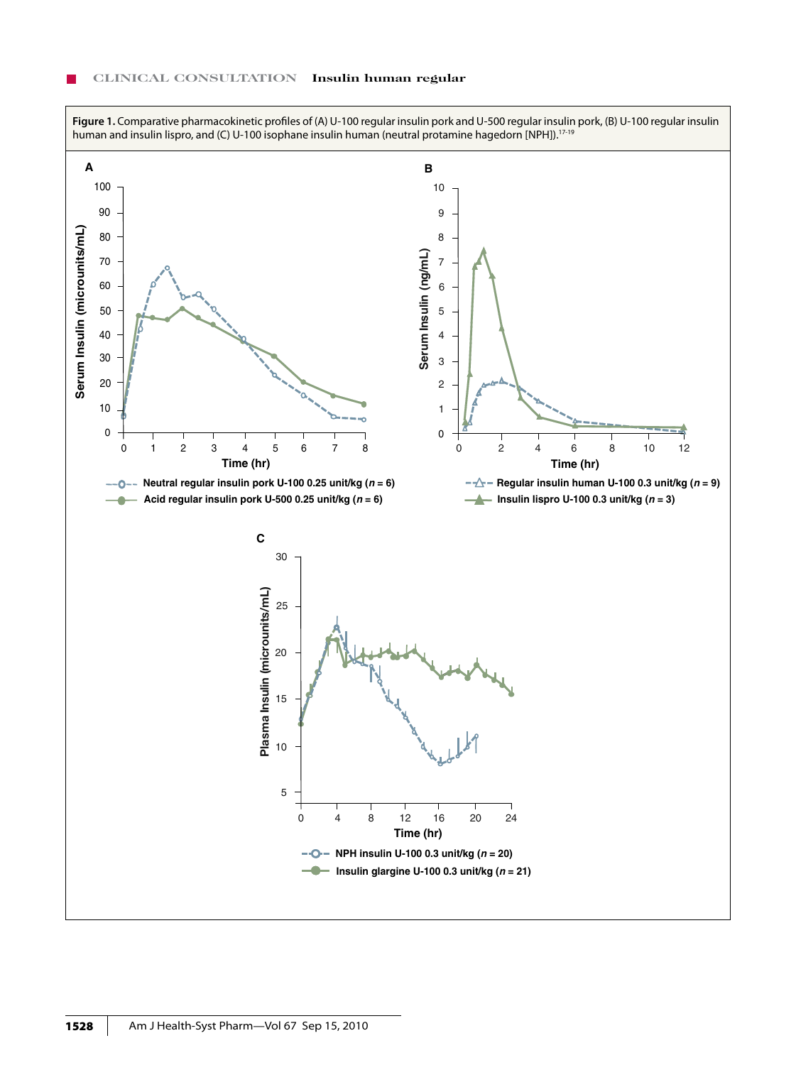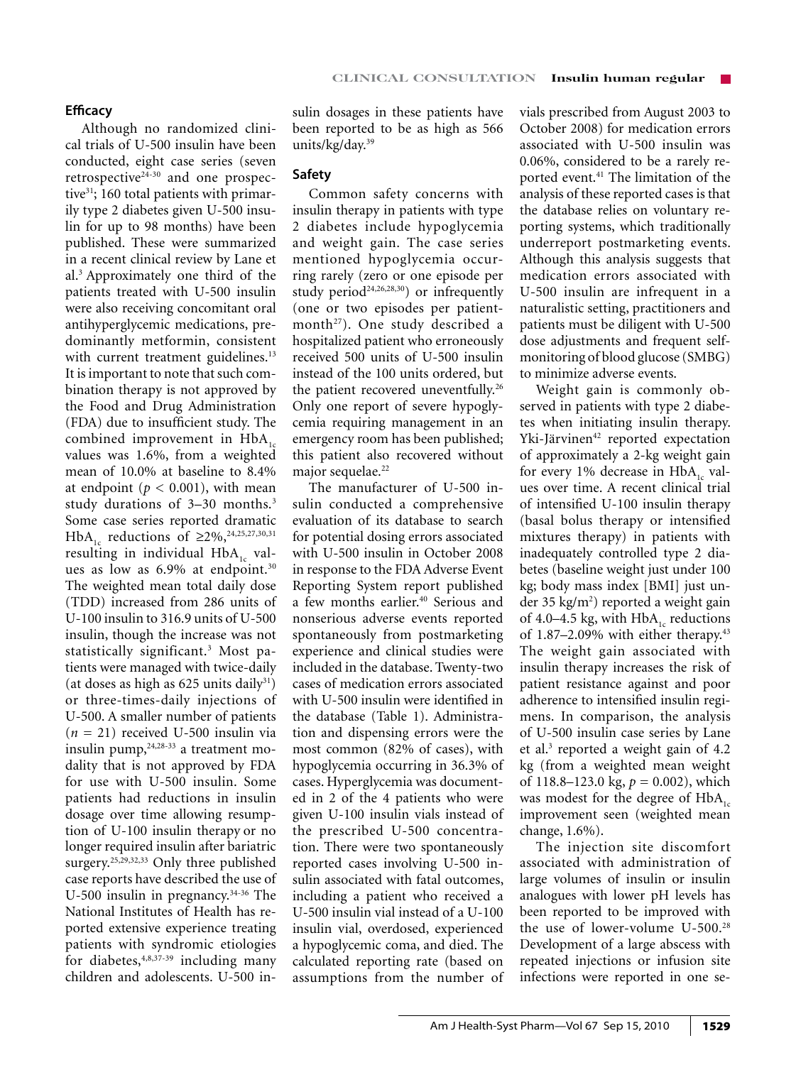# **Efficacy**

Although no randomized clinical trials of U-500 insulin have been conducted, eight case series (seven retrospective24-30 and one prospective<sup>31</sup>; 160 total patients with primarily type 2 diabetes given U-500 insulin for up to 98 months) have been published. These were summarized in a recent clinical review by Lane et al.3 Approximately one third of the patients treated with U-500 insulin were also receiving concomitant oral antihyperglycemic medications, predominantly metformin, consistent with current treatment guidelines.<sup>13</sup> It is important to note that such combination therapy is not approved by the Food and Drug Administration (FDA) due to insufficient study. The combined improvement in  $HbA_{1}$ . values was 1.6%, from a weighted mean of 10.0% at baseline to 8.4% at endpoint ( $p < 0.001$ ), with mean study durations of 3–30 months.3 Some case series reported dramatic HbA<sub>1c</sub> reductions of ≥2%,<sup>24,25,27,30,31</sup> resulting in individual  $HbA<sub>1c</sub>$  values as low as 6.9% at endpoint.<sup>30</sup> The weighted mean total daily dose (TDD) increased from 286 units of U-100 insulin to 316.9 units of U-500 insulin, though the increase was not statistically significant.3 Most patients were managed with twice-daily (at doses as high as  $625$  units daily<sup>31</sup>) or three-times-daily injections of U-500. A smaller number of patients  $(n = 21)$  received U-500 insulin via insulin pump, $24,28-33$  a treatment modality that is not approved by FDA for use with U-500 insulin. Some patients had reductions in insulin dosage over time allowing resumption of U-100 insulin therapy or no longer required insulin after bariatric surgery.<sup>25,29,32,33</sup> Only three published case reports have described the use of U-500 insulin in pregnancy.<sup>34-36</sup> The National Institutes of Health has reported extensive experience treating patients with syndromic etiologies for diabetes,4,8,37-39 including many children and adolescents. U-500 insulin dosages in these patients have been reported to be as high as 566 units/kg/day.39

# **Safety**

Common safety concerns with insulin therapy in patients with type 2 diabetes include hypoglycemia and weight gain. The case series mentioned hypoglycemia occurring rarely (zero or one episode per study period<sup>24,26,28,30</sup>) or infrequently (one or two episodes per patientmonth<sup>27</sup>). One study described a hospitalized patient who erroneously received 500 units of U-500 insulin instead of the 100 units ordered, but the patient recovered uneventfully.<sup>26</sup> Only one report of severe hypoglycemia requiring management in an emergency room has been published; this patient also recovered without major sequelae.<sup>22</sup>

The manufacturer of U-500 insulin conducted a comprehensive evaluation of its database to search for potential dosing errors associated with U-500 insulin in October 2008 in response to the FDA Adverse Event Reporting System report published a few months earlier.<sup>40</sup> Serious and nonserious adverse events reported spontaneously from postmarketing experience and clinical studies were included in the database. Twenty-two cases of medication errors associated with U-500 insulin were identified in the database (Table 1). Administration and dispensing errors were the most common (82% of cases), with hypoglycemia occurring in 36.3% of cases. Hyperglycemia was documented in 2 of the 4 patients who were given U-100 insulin vials instead of the prescribed U-500 concentration. There were two spontaneously reported cases involving U-500 insulin associated with fatal outcomes, including a patient who received a U-500 insulin vial instead of a U-100 insulin vial, overdosed, experienced a hypoglycemic coma, and died. The calculated reporting rate (based on assumptions from the number of vials prescribed from August 2003 to October 2008) for medication errors associated with U-500 insulin was 0.06%, considered to be a rarely reported event.<sup>41</sup> The limitation of the analysis of these reported cases is that the database relies on voluntary reporting systems, which traditionally underreport postmarketing events. Although this analysis suggests that medication errors associated with U-500 insulin are infrequent in a naturalistic setting, practitioners and patients must be diligent with U-500 dose adjustments and frequent selfmonitoring of blood glucose (SMBG) to minimize adverse events.

Weight gain is commonly observed in patients with type 2 diabetes when initiating insulin therapy. Yki-Järvinen<sup>42</sup> reported expectation of approximately a 2-kg weight gain for every 1% decrease in  $HbA_{1c}$  values over time. A recent clinical trial of intensified U-100 insulin therapy (basal bolus therapy or intensified mixtures therapy) in patients with inadequately controlled type 2 diabetes (baseline weight just under 100 kg; body mass index [BMI] just under 35 kg/m<sup>2</sup>) reported a weight gain of 4.0–4.5 kg, with  $HbA<sub>1c</sub>$  reductions of  $1.87-2.09\%$  with either therapy.<sup>43</sup> The weight gain associated with insulin therapy increases the risk of patient resistance against and poor adherence to intensified insulin regimens. In comparison, the analysis of U-500 insulin case series by Lane et al.3 reported a weight gain of 4.2 kg (from a weighted mean weight of 118.8–123.0 kg, *p* = 0.002), which was modest for the degree of  $HbA<sub>1c</sub>$ improvement seen (weighted mean change, 1.6%).

The injection site discomfort associated with administration of large volumes of insulin or insulin analogues with lower pH levels has been reported to be improved with the use of lower-volume U-500.28 Development of a large abscess with repeated injections or infusion site infections were reported in one se-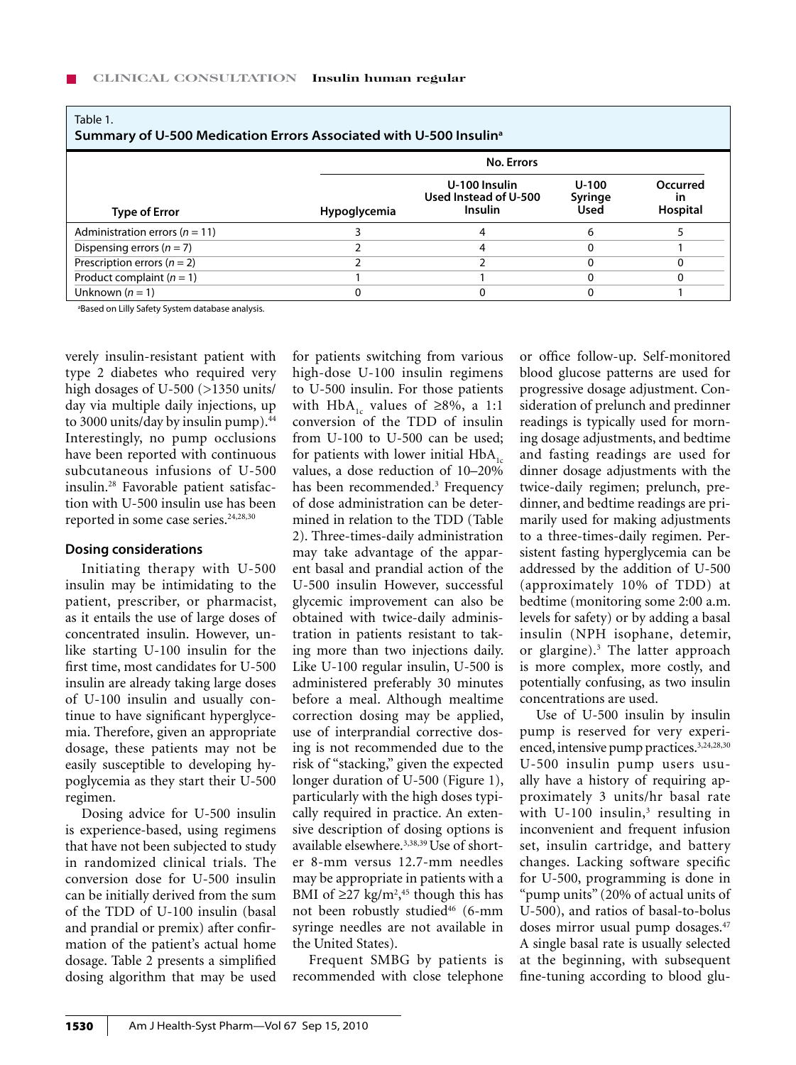| Table 1.<br>Summary of U-500 Medication Errors Associated with U-500 Insulin <sup>a</sup> |                     |                                                          |                          |                                   |  |  |
|-------------------------------------------------------------------------------------------|---------------------|----------------------------------------------------------|--------------------------|-----------------------------------|--|--|
|                                                                                           | <b>No. Errors</b>   |                                                          |                          |                                   |  |  |
| <b>Type of Error</b>                                                                      | <b>Hypoglycemia</b> | U-100 Insulin<br>Used Instead of U-500<br><b>Insulin</b> | U-100<br>Syringe<br>Used | Occurred<br><b>in</b><br>Hospital |  |  |
| Administration errors ( $n = 11$ )                                                        |                     | 4                                                        | 6                        |                                   |  |  |
| Dispensing errors ( $n = 7$ )                                                             |                     | 4                                                        |                          |                                   |  |  |
| Prescription errors ( $n = 2$ )                                                           |                     |                                                          |                          |                                   |  |  |
| Product complaint $(n = 1)$                                                               |                     |                                                          |                          |                                   |  |  |
| Unknown $(n = 1)$                                                                         | $\Omega$            |                                                          |                          |                                   |  |  |

a Based on Lilly Safety System database analysis.

verely insulin-resistant patient with type 2 diabetes who required very high dosages of U-500 (>1350 units/ day via multiple daily injections, up to 3000 units/day by insulin pump). $44$ Interestingly, no pump occlusions have been reported with continuous subcutaneous infusions of U-500 insulin.28 Favorable patient satisfaction with U-500 insulin use has been reported in some case series.<sup>24,28,30</sup>

### **Dosing considerations**

Initiating therapy with U-500 insulin may be intimidating to the patient, prescriber, or pharmacist, as it entails the use of large doses of concentrated insulin. However, unlike starting U-100 insulin for the first time, most candidates for U-500 insulin are already taking large doses of U-100 insulin and usually continue to have significant hyperglycemia. Therefore, given an appropriate dosage, these patients may not be easily susceptible to developing hypoglycemia as they start their U-500 regimen.

Dosing advice for U-500 insulin is experience-based, using regimens that have not been subjected to study in randomized clinical trials. The conversion dose for U-500 insulin can be initially derived from the sum of the TDD of U-100 insulin (basal and prandial or premix) after confirmation of the patient's actual home dosage. Table 2 presents a simplified dosing algorithm that may be used

for patients switching from various high-dose U-100 insulin regimens to U-500 insulin. For those patients with HbA<sub>1c</sub> values of ≥8%, a 1:1 conversion of the TDD of insulin from U-100 to U-500 can be used; for patients with lower initial  $HbA<sub>1c</sub>$ values, a dose reduction of 10–20% has been recommended.<sup>3</sup> Frequency of dose administration can be determined in relation to the TDD (Table 2). Three-times-daily administration may take advantage of the apparent basal and prandial action of the U-500 insulin However, successful glycemic improvement can also be obtained with twice-daily administration in patients resistant to taking more than two injections daily. Like U-100 regular insulin, U-500 is administered preferably 30 minutes before a meal. Although mealtime correction dosing may be applied, use of interprandial corrective dosing is not recommended due to the risk of "stacking," given the expected longer duration of U-500 (Figure 1), particularly with the high doses typically required in practice. An extensive description of dosing options is available elsewhere.<sup>3,38,39</sup> Use of shorter 8-mm versus 12.7-mm needles may be appropriate in patients with a BMI of  $\geq$ 27 kg/m<sup>2</sup>,<sup>45</sup> though this has not been robustly studied<sup>46</sup> (6-mm syringe needles are not available in the United States).

Frequent SMBG by patients is recommended with close telephone

or office follow-up. Self-monitored blood glucose patterns are used for progressive dosage adjustment. Consideration of prelunch and predinner readings is typically used for morning dosage adjustments, and bedtime and fasting readings are used for dinner dosage adjustments with the twice-daily regimen; prelunch, predinner, and bedtime readings are primarily used for making adjustments to a three-times-daily regimen. Persistent fasting hyperglycemia can be addressed by the addition of U-500 (approximately 10% of TDD) at bedtime (monitoring some 2:00 a.m. levels for safety) or by adding a basal insulin (NPH isophane, detemir, or glargine).3 The latter approach is more complex, more costly, and potentially confusing, as two insulin concentrations are used.

Use of U-500 insulin by insulin pump is reserved for very experienced, intensive pump practices.<sup>3,24,28,30</sup> U-500 insulin pump users usually have a history of requiring approximately 3 units/hr basal rate with U-100 insulin,<sup>3</sup> resulting in inconvenient and frequent infusion set, insulin cartridge, and battery changes. Lacking software specific for U-500, programming is done in "pump units" (20% of actual units of U-500), and ratios of basal-to-bolus doses mirror usual pump dosages.<sup>47</sup> A single basal rate is usually selected at the beginning, with subsequent fine-tuning according to blood glu-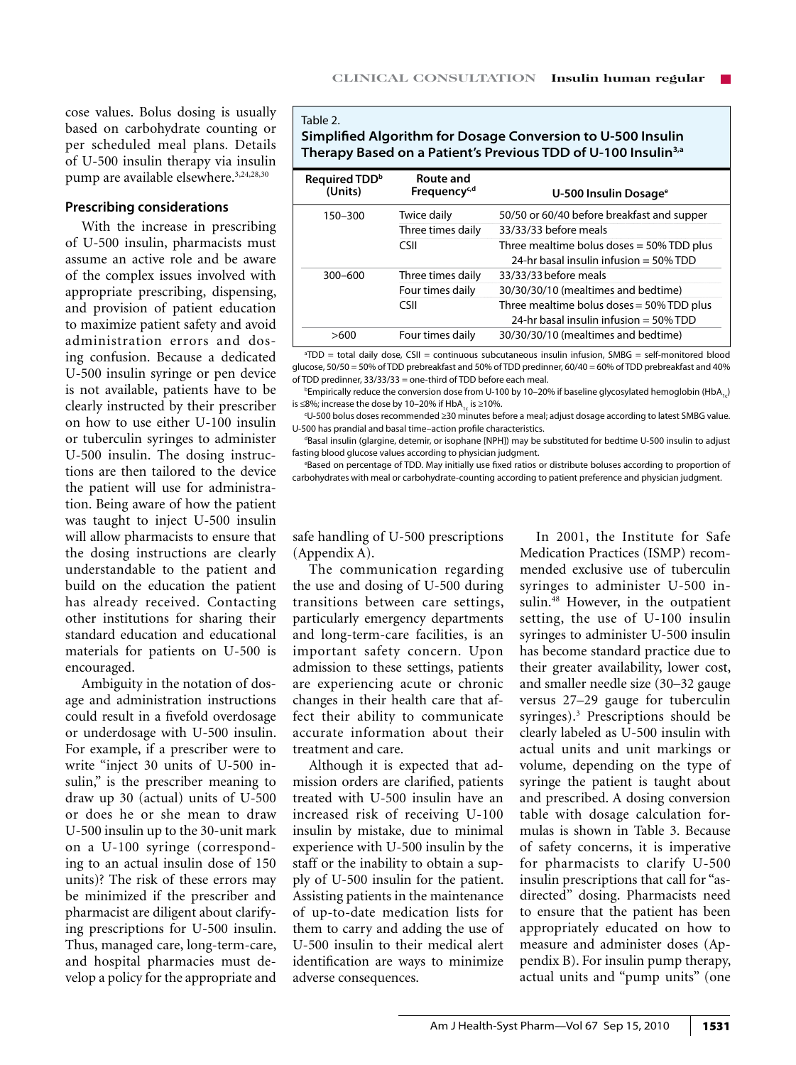cose values. Bolus dosing is usually based on carbohydrate counting or per scheduled meal plans. Details of U-500 insulin therapy via insulin pump are available elsewhere.<sup>3,24,28,30</sup>

# **Prescribing considerations**

With the increase in prescribing of U-500 insulin, pharmacists must assume an active role and be aware of the complex issues involved with appropriate prescribing, dispensing, and provision of patient education to maximize patient safety and avoid administration errors and dosing confusion. Because a dedicated U-500 insulin syringe or pen device is not available, patients have to be clearly instructed by their prescriber on how to use either U-100 insulin or tuberculin syringes to administer U-500 insulin. The dosing instructions are then tailored to the device the patient will use for administration. Being aware of how the patient was taught to inject U-500 insulin will allow pharmacists to ensure that the dosing instructions are clearly understandable to the patient and build on the education the patient has already received. Contacting other institutions for sharing their standard education and educational materials for patients on U-500 is encouraged.

Ambiguity in the notation of dosage and administration instructions could result in a fivefold overdosage or underdosage with U-500 insulin. For example, if a prescriber were to write "inject 30 units of U-500 insulin," is the prescriber meaning to draw up 30 (actual) units of U-500 or does he or she mean to draw U-500 insulin up to the 30-unit mark on a U-100 syringe (corresponding to an actual insulin dose of 150 units)? The risk of these errors may be minimized if the prescriber and pharmacist are diligent about clarifying prescriptions for U-500 insulin. Thus, managed care, long-term-care, and hospital pharmacies must develop a policy for the appropriate and

#### Table 2.

**Simplified Algorithm for Dosage Conversion to U-500 Insulin Therapy Based on a Patient's Previous TDD of U-100 Insulin3,a**

| Required TDD <sup>b</sup><br>(Units) | Route and<br>Frequency <sup>c,d</sup> | U-500 Insulin Dosage <sup>e</sup>                                                     |
|--------------------------------------|---------------------------------------|---------------------------------------------------------------------------------------|
| 150-300                              | Twice daily                           | 50/50 or 60/40 before breakfast and supper                                            |
|                                      | Three times daily                     | 33/33/33 before meals                                                                 |
|                                      | CSII                                  | Three mealtime bolus doses $=$ 50% TDD plus<br>24-hr basal insulin infusion = 50% TDD |
| $300 - 600$                          | Three times daily                     | 33/33/33 before meals                                                                 |
|                                      | Four times daily                      | 30/30/30/10 (mealtimes and bedtime)                                                   |
|                                      | CSII                                  | Three mealtime bolus doses $=$ 50% TDD plus<br>24-hr basal insulin infusion = 50% TDD |
| >600                                 | Four times daily                      | 30/30/30/10 (mealtimes and bedtime)                                                   |
|                                      |                                       |                                                                                       |

a TDD = total daily dose, CSII = continuous subcutaneous insulin infusion, SMBG = self-monitored blood glucose, 50/50 = 50% of TDD prebreakfast and 50% of TDD predinner, 60/40 = 60% of TDD prebreakfast and 40% of TDD predinner, 33/33/33 = one-third of TDD before each meal.

 $^{\rm b}$ Empirically reduce the conversion dose from U-100 by 10–20% if baseline glycosylated hemoglobin (HbA $_{_{1,\cdot}}$ ) is ≤8%; increase the dose by 10–20% if HbA<sub>1c</sub> is ≥10%.

c U-500 bolus doses recommended ≥30 minutes before a meal; adjust dosage according to latest SMBG value. U-500 has prandial and basal time-action profile characteristics.

Basal insulin (glargine, detemir, or isophane [NPH]) may be substituted for bedtime U-500 insulin to adjust fasting blood glucose values according to physician judgment.

e Based on percentage of TDD. May initially use fixed ratios or distribute boluses according to proportion of carbohydrates with meal or carbohydrate-counting according to patient preference and physician judgment.

safe handling of U-500 prescriptions (Appendix A).

The communication regarding the use and dosing of U-500 during transitions between care settings, particularly emergency departments and long-term-care facilities, is an important safety concern. Upon admission to these settings, patients are experiencing acute or chronic changes in their health care that affect their ability to communicate accurate information about their treatment and care.

Although it is expected that admission orders are clarified, patients treated with U-500 insulin have an increased risk of receiving U-100 insulin by mistake, due to minimal experience with U-500 insulin by the staff or the inability to obtain a supply of U-500 insulin for the patient. Assisting patients in the maintenance of up-to-date medication lists for them to carry and adding the use of U-500 insulin to their medical alert identification are ways to minimize adverse consequences.

In 2001, the Institute for Safe Medication Practices (ISMP) recommended exclusive use of tuberculin syringes to administer U-500 insulin.<sup>48</sup> However, in the outpatient setting, the use of U-100 insulin syringes to administer U-500 insulin has become standard practice due to their greater availability, lower cost, and smaller needle size (30–32 gauge versus 27–29 gauge for tuberculin syringes).3 Prescriptions should be clearly labeled as U-500 insulin with actual units and unit markings or volume, depending on the type of syringe the patient is taught about and prescribed. A dosing conversion table with dosage calculation formulas is shown in Table 3. Because of safety concerns, it is imperative for pharmacists to clarify U-500 insulin prescriptions that call for "asdirected" dosing. Pharmacists need to ensure that the patient has been appropriately educated on how to measure and administer doses (Appendix B). For insulin pump therapy, actual units and "pump units" (one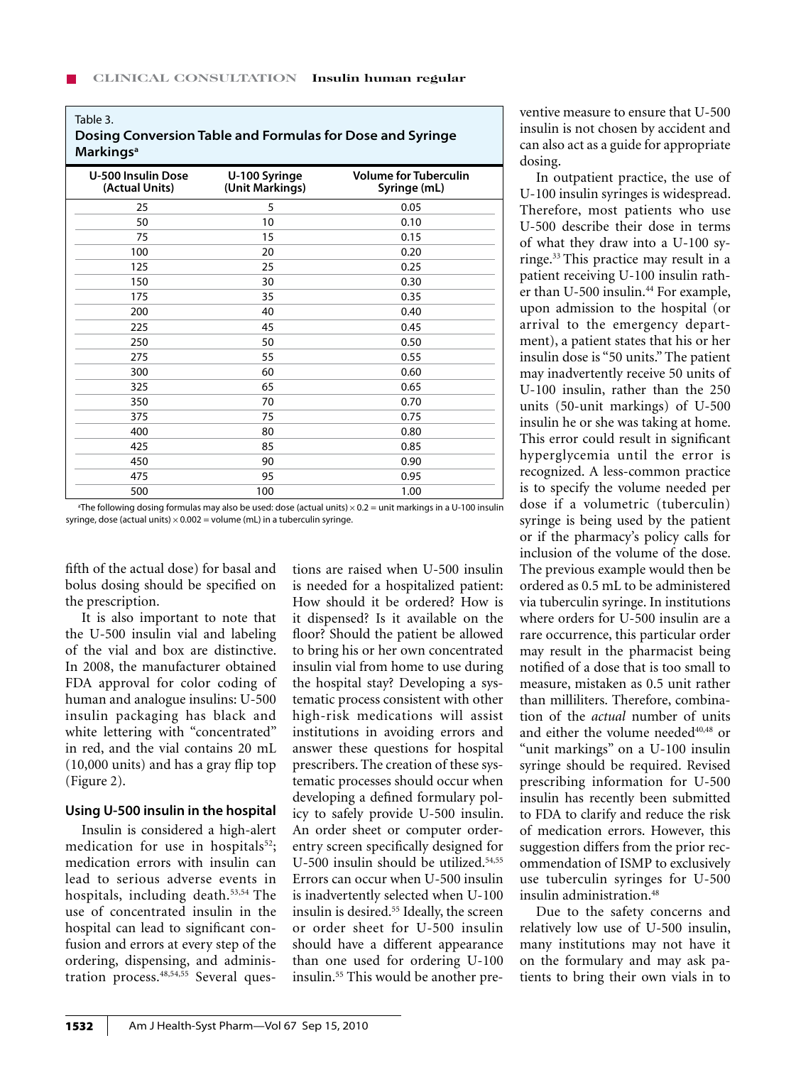### Table 3.

| Dosing Conversion Table and Formulas for Dose and Syringe |  |
|-----------------------------------------------------------|--|
| <b>Markings</b> <sup>a</sup>                              |  |

| <b>U-500 Insulin Dose</b><br>(Actual Units) | U-100 Syringe<br>(Unit Markings) | <b>Volume for Tuberculin</b><br>Syringe (mL) |
|---------------------------------------------|----------------------------------|----------------------------------------------|
| 25                                          | 5                                | 0.05                                         |
| 50                                          | 10                               | 0.10                                         |
| 75                                          | 15                               | 0.15                                         |
| 100                                         | 20                               | 0.20                                         |
| 125                                         | 25                               | 0.25                                         |
| 150                                         | 30                               | 0.30                                         |
| 175                                         | 35                               | 0.35                                         |
| 200                                         | 40                               | 0.40                                         |
| 225                                         | 45                               | 0.45                                         |
| 250                                         | 50                               | 0.50                                         |
| 275                                         | 55                               | 0.55                                         |
| 300                                         | 60                               | 0.60                                         |
| 325                                         | 65                               | 0.65                                         |
| 350                                         | 70                               | 0.70                                         |
| 375                                         | 75                               | 0.75                                         |
| 400                                         | 80                               | 0.80                                         |
| 425                                         | 85                               | 0.85                                         |
| 450                                         | 90                               | 0.90                                         |
| 475                                         | 95                               | 0.95                                         |
| 500                                         | 100                              | 1.00                                         |

a The following dosing formulas may also be used: dose (actual units) × 0.2 = unit markings in a U-100 insulin syringe, dose (actual units)  $\times$  0.002 = volume (mL) in a tuberculin syringe.

fifth of the actual dose) for basal and bolus dosing should be specified on the prescription.

It is also important to note that the U-500 insulin vial and labeling of the vial and box are distinctive. In 2008, the manufacturer obtained FDA approval for color coding of human and analogue insulins: U-500 insulin packaging has black and white lettering with "concentrated" in red, and the vial contains 20 mL (10,000 units) and has a gray flip top (Figure 2).

# **Using U-500 insulin in the hospital**

Insulin is considered a high-alert medication for use in hospitals $52$ ; medication errors with insulin can lead to serious adverse events in hospitals, including death.53,54 The use of concentrated insulin in the hospital can lead to significant confusion and errors at every step of the ordering, dispensing, and administration process.<sup>48,54,55</sup> Several questions are raised when U-500 insulin is needed for a hospitalized patient: How should it be ordered? How is it dispensed? Is it available on the floor? Should the patient be allowed to bring his or her own concentrated insulin vial from home to use during the hospital stay? Developing a systematic process consistent with other high-risk medications will assist institutions in avoiding errors and answer these questions for hospital prescribers. The creation of these systematic processes should occur when developing a defined formulary policy to safely provide U-500 insulin. An order sheet or computer orderentry screen specifically designed for U-500 insulin should be utilized. $54,55$ Errors can occur when U-500 insulin is inadvertently selected when U-100 insulin is desired.<sup>55</sup> Ideally, the screen or order sheet for U-500 insulin should have a different appearance than one used for ordering U-100 insulin.55 This would be another preventive measure to ensure that U-500 insulin is not chosen by accident and can also act as a guide for appropriate dosing.

In outpatient practice, the use of U-100 insulin syringes is widespread. Therefore, most patients who use U-500 describe their dose in terms of what they draw into a U-100 syringe.33 This practice may result in a patient receiving U-100 insulin rather than U-500 insulin.<sup>44</sup> For example, upon admission to the hospital (or arrival to the emergency department), a patient states that his or her insulin dose is "50 units." The patient may inadvertently receive 50 units of U-100 insulin, rather than the 250 units (50-unit markings) of U-500 insulin he or she was taking at home. This error could result in significant hyperglycemia until the error is recognized. A less-common practice is to specify the volume needed per dose if a volumetric (tuberculin) syringe is being used by the patient or if the pharmacy's policy calls for inclusion of the volume of the dose. The previous example would then be ordered as 0.5 mL to be administered via tuberculin syringe. In institutions where orders for U-500 insulin are a rare occurrence, this particular order may result in the pharmacist being notified of a dose that is too small to measure, mistaken as 0.5 unit rather than milliliters. Therefore, combination of the *actual* number of units and either the volume needed<sup>40,48</sup> or "unit markings" on a U-100 insulin syringe should be required. Revised prescribing information for U-500 insulin has recently been submitted to FDA to clarify and reduce the risk of medication errors. However, this suggestion differs from the prior recommendation of ISMP to exclusively use tuberculin syringes for U-500 insulin administration.<sup>48</sup>

Due to the safety concerns and relatively low use of U-500 insulin, many institutions may not have it on the formulary and may ask patients to bring their own vials in to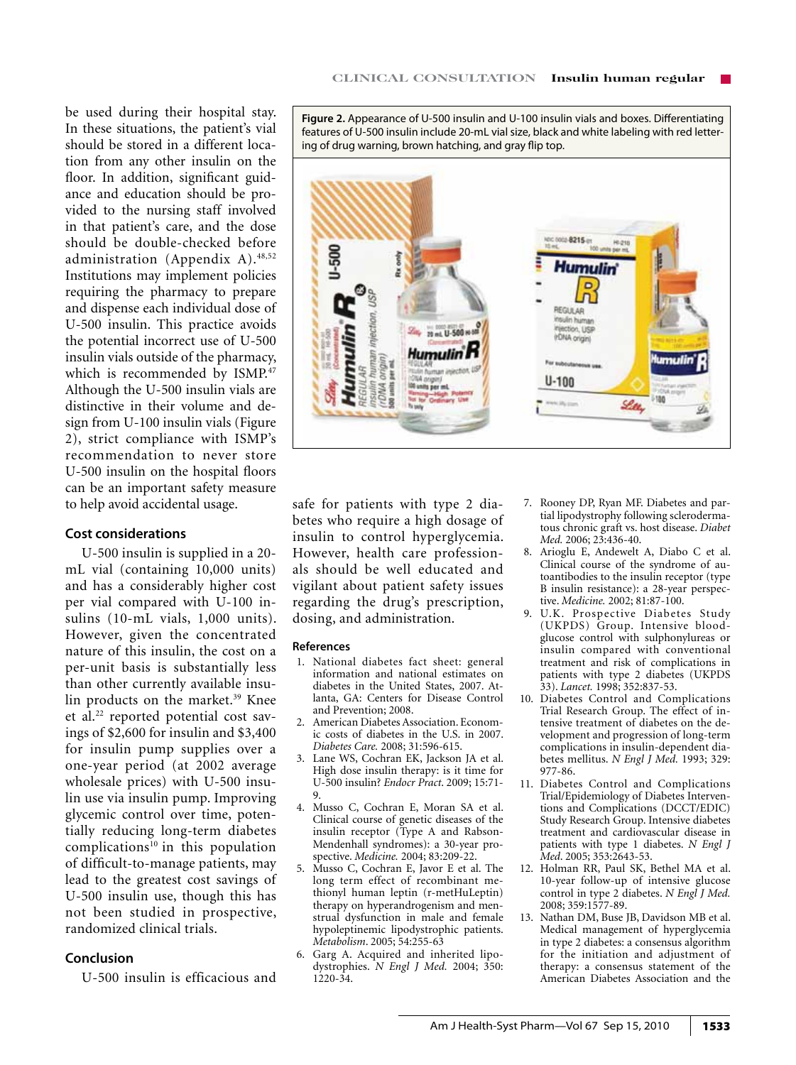be used during their hospital stay. In these situations, the patient's vial should be stored in a different location from any other insulin on the floor. In addition, significant guidance and education should be provided to the nursing staff involved in that patient's care, and the dose should be double-checked before administration (Appendix A).48,52 Institutions may implement policies requiring the pharmacy to prepare and dispense each individual dose of U-500 insulin. This practice avoids the potential incorrect use of U-500 insulin vials outside of the pharmacy, which is recommended by ISMP.<sup>47</sup> Although the U-500 insulin vials are distinctive in their volume and design from U-100 insulin vials (Figure 2), strict compliance with ISMP's recommendation to never store U-500 insulin on the hospital floors can be an important safety measure to help avoid accidental usage.

# **Cost considerations**

U-500 insulin is supplied in a 20 mL vial (containing 10,000 units) and has a considerably higher cost per vial compared with U-100 insulins (10-mL vials, 1,000 units). However, given the concentrated nature of this insulin, the cost on a per-unit basis is substantially less than other currently available insulin products on the market.<sup>39</sup> Knee et al.<sup>22</sup> reported potential cost savings of \$2,600 for insulin and \$3,400 for insulin pump supplies over a one-year period (at 2002 average wholesale prices) with U-500 insulin use via insulin pump. Improving glycemic control over time, potentially reducing long-term diabetes complications $10$  in this population of difficult-to-manage patients, may lead to the greatest cost savings of U-500 insulin use, though this has not been studied in prospective, randomized clinical trials.

# **Conclusion**

U-500 insulin is efficacious and

**Figure 2.** Appearance of U-500 insulin and U-100 insulin vials and boxes. Differentiating features of U-500 insulin include 20-mL vial size, black and white labeling with red lettering of drug warning, brown hatching, and gray flip top.



safe for patients with type 2 diabetes who require a high dosage of insulin to control hyperglycemia. However, health care professionals should be well educated and vigilant about patient safety issues regarding the drug's prescription, dosing, and administration.

#### **References**

- 1. National diabetes fact sheet: general information and national estimates on diabetes in the United States, 2007. Atlanta, GA: Centers for Disease Control and Prevention; 2008.
- 2. American Diabetes Association. Economic costs of diabetes in the U.S. in 2007. *Diabetes Care.* 2008; 31:596-615.
- 3. Lane WS, Cochran EK, Jackson JA et al. High dose insulin therapy: is it time for U-500 insulin? *Endocr Pract*. 2009; 15:71- 9.
- 4. Musso C, Cochran E, Moran SA et al. Clinical course of genetic diseases of the insulin receptor (Type A and Rabson-Mendenhall syndromes): a 30-year prospective. *Medicine.* 2004; 83:209-22.
- 5. Musso C, Cochran E, Javor E et al. The long term effect of recombinant methionyl human leptin (r-metHuLeptin) therapy on hyperandrogenism and menstrual dysfunction in male and female hypoleptinemic lipodystrophic patients. *Metabolism*. 2005; 54:255-63
- 6. Garg A. Acquired and inherited lipodystrophies. *N Engl J Med.* 2004; 350: 1220-34.
- 7. Rooney DP, Ryan MF. Diabetes and partial lipodystrophy following sclerodermatous chronic graft vs. host disease. *Diabet Med.* 2006; 23:436-40.
- 8. Arioglu E, Andewelt A, Diabo C et al. Clinical course of the syndrome of autoantibodies to the insulin receptor (type B insulin resistance): a 28-year perspective. *Medicine.* 2002; 81:87-100.
- 9. U.K. Prospective Diabetes Study (UKPDS) Group. Intensive bloodglucose control with sulphonylureas or insulin compared with conventional treatment and risk of complications in patients with type 2 diabetes (UKPDS 33). *Lancet.* 1998; 352:837-53.
- 10. Diabetes Control and Complications Trial Research Group. The effect of intensive treatment of diabetes on the development and progression of long-term complications in insulin-dependent diabetes mellitus. *N Engl J Med.* 1993; 329: 977-86.
- 11. Diabetes Control and Complications Trial/Epidemiology of Diabetes Interventions and Complications (DCCT/EDIC) Study Research Group. Intensive diabetes treatment and cardiovascular disease in patients with type 1 diabetes. *N Engl J Med*. 2005; 353:2643-53.
- 12. Holman RR, Paul SK, Bethel MA et al. 10-year follow-up of intensive glucose control in type 2 diabetes. *N Engl J Med.* 2008; 359:1577-89.
- 13. Nathan DM, Buse JB, Davidson MB et al. Medical management of hyperglycemia in type 2 diabetes: a consensus algorithm for the initiation and adjustment of therapy: a consensus statement of the American Diabetes Association and the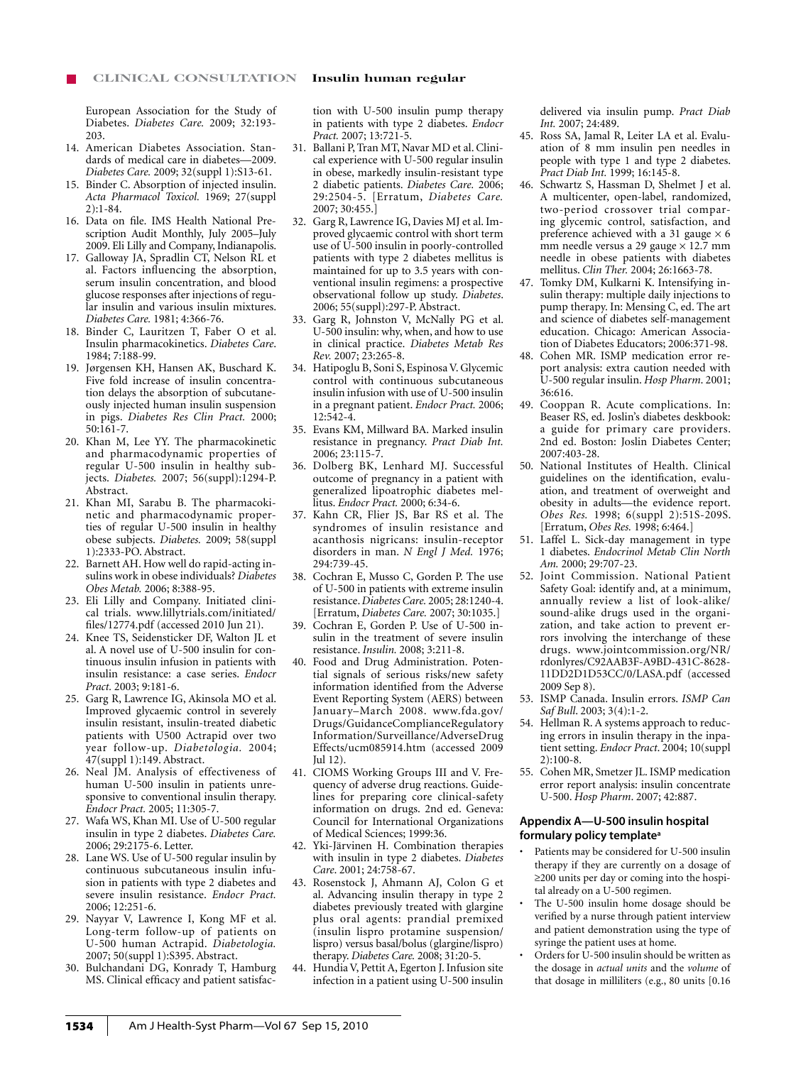European Association for the Study of Diabetes. *Diabetes Care.* 2009; 32:193- 203.

- 14. American Diabetes Association. Standards of medical care in diabetes—2009. *Diabetes Care.* 2009; 32(suppl 1):S13-61.
- 15. Binder C. Absorption of injected insulin. *Acta Pharmacol Toxicol.* 1969; 27(suppl 2):1-84.
- 16. Data on file. IMS Health National Prescription Audit Monthly, July 2005–July 2009. Eli Lilly and Company, Indianapolis.
- 17. Galloway JA, Spradlin CT, Nelson RL et al. Factors influencing the absorption, serum insulin concentration, and blood glucose responses after injections of regular insulin and various insulin mixtures. *Diabetes Care.* 1981; 4:366-76.
- 18. Binder C, Lauritzen T, Faber O et al. Insulin pharmacokinetics. *Diabetes Care*. 1984; 7:188-99.
- 19. Jørgensen KH, Hansen AK, Buschard K. Five fold increase of insulin concentration delays the absorption of subcutaneously injected human insulin suspension in pigs. *Diabetes Res Clin Pract.* 2000; 50:161-7.
- 20. Khan M, Lee YY. The pharmacokinetic and pharmacodynamic properties of regular U-500 insulin in healthy subjects. *Diabetes.* 2007; 56(suppl):1294-P. Abstract.
- 21. Khan MI, Sarabu B. The pharmacokinetic and pharmacodynamic properties of regular U-500 insulin in healthy obese subjects. *Diabetes.* 2009; 58(suppl 1):2333-PO. Abstract.
- 22. Barnett AH. How well do rapid-acting insulins work in obese individuals? *Diabetes Obes Metab.* 2006; 8:388-95.
- 23. Eli Lilly and Company. Initiated clinical trials. www.lillytrials.com/initiated/ files/12774.pdf (accessed 2010 Jun 21).
- 24. Knee TS, Seidensticker DF, Walton JL et al. A novel use of U-500 insulin for continuous insulin infusion in patients with insulin resistance: a case series. *Endocr Pract.* 2003; 9:181-6.
- 25. Garg R, Lawrence IG, Akinsola MO et al. Improved glycaemic control in severely insulin resistant, insulin-treated diabetic patients with U500 Actrapid over two year follow-up. *Diabetologia.* 2004; 47(suppl 1):149. Abstract.
- 26. Neal JM. Analysis of effectiveness of human U-500 insulin in patients unresponsive to conventional insulin therapy. *Endocr Pract.* 2005; 11:305-7.
- 27. Wafa WS, Khan MI. Use of U-500 regular insulin in type 2 diabetes. *Diabetes Care.* 2006; 29:2175-6. Letter.
- 28. Lane WS. Use of U-500 regular insulin by continuous subcutaneous insulin infusion in patients with type 2 diabetes and severe insulin resistance. *Endocr Pract.*  2006; 12:251-6.
- 29. Nayyar V, Lawrence I, Kong MF et al. Long-term follow-up of patients on U-500 human Actrapid. *Diabetologia.* 2007; 50(suppl 1):S395. Abstract.
- 30. Bulchandani DG, Konrady T, Hamburg MS. Clinical efficacy and patient satisfac-

tion with U-500 insulin pump therapy in patients with type 2 diabetes. *Endocr Pract.* 2007; 13:721-5.

- 31. Ballani P, Tran MT, Navar MD et al. Clinical experience with U-500 regular insulin in obese, markedly insulin-resistant type 2 diabetic patients. *Diabetes Care.* 2006; 29:2504-5. [Erratum, *Diabetes Care.* 2007; 30:455.]
- 32. Garg R, Lawrence IG, Davies MJ et al. Improved glycaemic control with short term use of U-500 insulin in poorly-controlled patients with type 2 diabetes mellitus is maintained for up to 3.5 years with conventional insulin regimens: a prospective observational follow up study. *Diabetes*. 2006; 55(suppl):297-P. Abstract.
- 33. Garg R, Johnston V, McNally PG et al. U-500 insulin: why, when, and how to use in clinical practice. *Diabetes Metab Res Rev.* 2007; 23:265-8.
- 34. Hatipoglu B, Soni S, Espinosa V. Glycemic control with continuous subcutaneous insulin infusion with use of U-500 insulin in a pregnant patient. *Endocr Pract.* 2006; 12:542-4.
- 35. Evans KM, Millward BA. Marked insulin resistance in pregnancy. *Pract Diab Int.*  2006; 23:115-7.
- 36. Dolberg BK, Lenhard MJ. Successful outcome of pregnancy in a patient with generalized lipoatrophic diabetes mellitus. *Endocr Pract.* 2000; 6:34-6.
- 37. Kahn CR, Flier JS, Bar RS et al. The syndromes of insulin resistance and acanthosis nigricans: insulin-receptor disorders in man. *N Engl J Med.* 1976; 294:739-45.
- 38. Cochran E, Musso C, Gorden P. The use of U-500 in patients with extreme insulin resistance. *Diabetes Care.* 2005; 28:1240-4. [Erratum, *Diabetes Care.* 2007; 30:1035.]
- 39. Cochran E, Gorden P. Use of U-500 insulin in the treatment of severe insulin resistance. *Insulin.* 2008; 3:211-8.
- 40. Food and Drug Administration. Potential signals of serious risks/new safety information identified from the Adverse Event Reporting System (AERS) between January–March 2008. www.fda.gov/ Drugs/GuidanceComplianceRegulatory Information/Surveillance/AdverseDrug Effects/ucm085914.htm (accessed 2009 Jul 12).
- 41. CIOMS Working Groups III and V. Frequency of adverse drug reactions. Guidelines for preparing core clinical-safety information on drugs. 2nd ed. Geneva: Council for International Organizations of Medical Sciences; 1999:36.
- 42. Yki-Järvinen H. Combination therapies with insulin in type 2 diabetes. *Diabetes Care*. 2001; 24:758-67.
- 43. Rosenstock J, Ahmann AJ, Colon G et al. Advancing insulin therapy in type 2 diabetes previously treated with glargine plus oral agents: prandial premixed (insulin lispro protamine suspension/ lispro) versus basal/bolus (glargine/lispro) therapy. *Diabetes Care.* 2008; 31:20-5.
- 44. Hundia V, Pettit A, Egerton J. Infusion site infection in a patient using U-500 insulin

delivered via insulin pump. *Pract Diab Int.* 2007; 24:489.

- 45. Ross SA, Jamal R, Leiter LA et al. Evaluation of 8 mm insulin pen needles in people with type 1 and type 2 diabetes. *Pract Diab Int.* 1999; 16:145-8.
- 46. Schwartz S, Hassman D, Shelmet J et al. A multicenter, open-label, randomized, two-period crossover trial comparing glycemic control, satisfaction, and preference achieved with a 31 gauge  $\times$  6 mm needle versus a 29 gauge  $\times$  12.7 mm needle in obese patients with diabetes mellitus. *Clin Ther.* 2004; 26:1663-78.
- 47. Tomky DM, Kulkarni K. Intensifying insulin therapy: multiple daily injections to pump therapy. In: Mensing C, ed. The art and science of diabetes self-management education. Chicago: American Association of Diabetes Educators; 2006:371-98.
- 48. Cohen MR. ISMP medication error report analysis: extra caution needed with U-500 regular insulin. *Hosp Pharm*. 2001; 36:616.
- 49. Cooppan R. Acute complications. In: Beaser RS, ed. Joslin's diabetes deskbook: a guide for primary care providers. 2nd ed. Boston: Joslin Diabetes Center; 2007:403-28.
- 50. National Institutes of Health. Clinical guidelines on the identification, evaluation, and treatment of overweight and obesity in adults—the evidence report. *Obes Res.* 1998; 6(suppl 2):51S-209S. [Erratum, *Obes Res.* 1998; 6:464.]
- 51. Laffel L. Sick-day management in type 1 diabetes. *Endocrinol Metab Clin North Am.* 2000; 29:707-23.
- 52. Joint Commission. National Patient Safety Goal: identify and, at a minimum, annually review a list of look-alike/ sound-alike drugs used in the organization, and take action to prevent errors involving the interchange of these drugs. www.jointcommission.org/NR/ rdonlyres/C92AAB3F-A9BD-431C-8628- 11DD2D1D53CC/0/LASA.pdf (accessed 2009 Sep 8).
- 53. ISMP Canada. Insulin errors. *ISMP Can Saf Bull*. 2003; 3(4):1-2.
- 54. Hellman R. A systems approach to reducing errors in insulin therapy in the inpatient setting. *Endocr Pract*. 2004; 10(suppl 2):100-8.
- 55. Cohen MR, Smetzer JL. ISMP medication error report analysis: insulin concentrate U-500. *Hosp Pharm*. 2007; 42:887.

#### **Appendix A—U-500 insulin hospital formulary policy templatea**

- Patients may be considered for U-500 insulin therapy if they are currently on a dosage of ≥200 units per day or coming into the hospital already on a U-500 regimen.
- The U-500 insulin home dosage should be verified by a nurse through patient interview and patient demonstration using the type of syringe the patient uses at home.
- Orders for U-500 insulin should be written as the dosage in *actual units* and the *volume* of that dosage in milliliters (e.g., 80 units [0.16